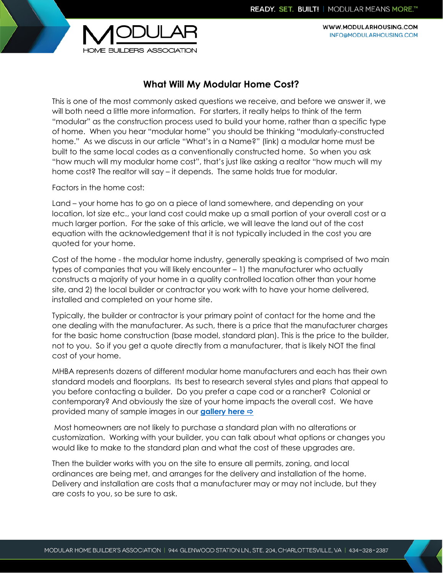

WWW.MODULARHOUSING.COM INFO@MODULARHOUSING.COM

## **What Will My Modular Home Cost?**

This is one of the most commonly asked questions we receive, and before we answer it, we will both need a little more information. For starters, it really helps to think of the term "modular" as the construction process used to build your home, rather than a specific type of home. When you hear "modular home" you should be thinking "modularly-constructed home." As we discuss in our article "What's in a Name?" (link) a modular home must be built to the same local codes as a conventionally constructed home. So when you ask "how much will my modular home cost", that's just like asking a realtor "how much will my home cost? The realtor will say – it depends. The same holds true for modular.

Factors in the home cost:

Land – your home has to go on a piece of land somewhere, and depending on your location, lot size etc., your land cost could make up a small portion of your overall cost or a much larger portion. For the sake of this article, we will leave the land out of the cost equation with the acknowledgement that it is not typically included in the cost you are quoted for your home.

Cost of the home - the modular home industry, generally speaking is comprised of two main types of companies that you will likely encounter – 1) the manufacturer who actually constructs a majority of your home in a quality controlled location other than your home site, and 2) the local builder or contractor you work with to have your home delivered, installed and completed on your home site.

Typically, the builder or contractor is your primary point of contact for the home and the one dealing with the manufacturer. As such, there is a price that the manufacturer charges for the basic home construction (base model, standard plan). This is the price to the builder, not to you. So if you get a quote directly from a manufacturer, that is likely NOT the final cost of your home.

MHBA represents dozens of different modular home manufacturers and each has their own standard models and floorplans. Its best to research several styles and plans that appeal to you before contacting a builder. Do you prefer a cape cod or a rancher? Colonial or contemporary? And obviously the size of your home impacts the overall cost. We have provided many of sample images in our **[gallery here](http://www.modularhousing.com/HtmlPage.aspx?name=gallery)**

Most homeowners are not likely to purchase a standard plan with no alterations or customization. Working with your builder, you can talk about what options or changes you would like to make to the standard plan and what the cost of these upgrades are.

Then the builder works with you on the site to ensure all permits, zoning, and local ordinances are being met, and arranges for the delivery and installation of the home. Delivery and installation are costs that a manufacturer may or may not include, but they are costs to you, so be sure to ask.